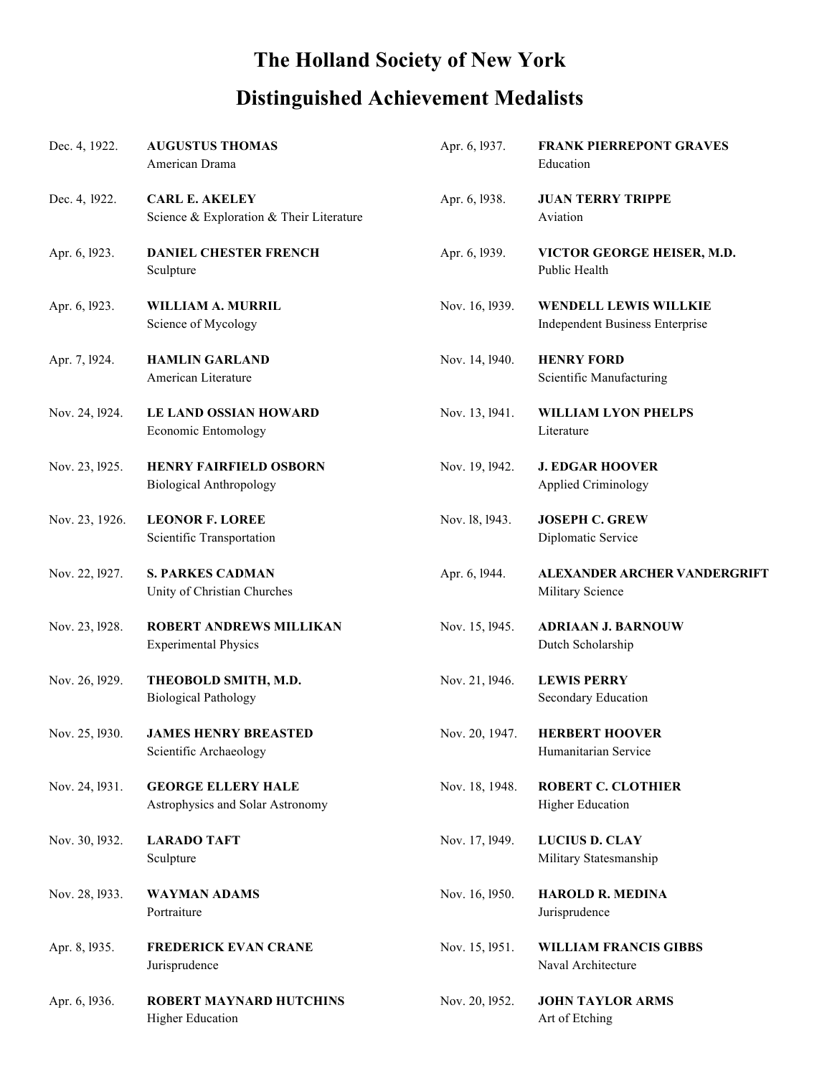## **The Holland Society of New York**

## **Distinguished Achievement Medalists**

| Dec. 4, 1922.  | <b>AUGUSTUS THOMAS</b><br>American Drama                          | Apr. 6, 1937.  | <b>FRANK PIERREPONT GRAVES</b><br>Education                     |
|----------------|-------------------------------------------------------------------|----------------|-----------------------------------------------------------------|
| Dec. 4, 1922.  | <b>CARL E. AKELEY</b><br>Science & Exploration & Their Literature | Apr. 6, 1938.  | <b>JUAN TERRY TRIPPE</b><br>Aviation                            |
| Apr. 6, 1923.  | <b>DANIEL CHESTER FRENCH</b><br>Sculpture                         | Apr. 6, 1939.  | VICTOR GEORGE HEISER, M.D.<br>Public Health                     |
| Apr. 6, 1923.  | WILLIAM A. MURRIL<br>Science of Mycology                          | Nov. 16, 1939. | WENDELL LEWIS WILLKIE<br><b>Independent Business Enterprise</b> |
| Apr. 7, 1924.  | <b>HAMLIN GARLAND</b><br>American Literature                      | Nov. 14, 1940. | <b>HENRY FORD</b><br>Scientific Manufacturing                   |
| Nov. 24, 1924. | <b>LE LAND OSSIAN HOWARD</b><br>Economic Entomology               | Nov. 13, 1941. | <b>WILLIAM LYON PHELPS</b><br>Literature                        |
| Nov. 23, 1925. | <b>HENRY FAIRFIELD OSBORN</b><br><b>Biological Anthropology</b>   | Nov. 19, 1942. | <b>J. EDGAR HOOVER</b><br><b>Applied Criminology</b>            |
| Nov. 23, 1926. | <b>LEONOR F. LOREE</b><br>Scientific Transportation               | Nov. 18, 1943. | <b>JOSEPH C. GREW</b><br>Diplomatic Service                     |
| Nov. 22, 1927. | <b>S. PARKES CADMAN</b><br>Unity of Christian Churches            | Apr. 6, 1944.  | <b>ALEXANDER ARCHER VANDERGRIFT</b><br>Military Science         |
| Nov. 23, 1928. | <b>ROBERT ANDREWS MILLIKAN</b><br><b>Experimental Physics</b>     | Nov. 15, 1945. | <b>ADRIAAN J. BARNOUW</b><br>Dutch Scholarship                  |
| Nov. 26, 1929. | THEOBOLD SMITH, M.D.<br><b>Biological Pathology</b>               | Nov. 21, 1946. | <b>LEWIS PERRY</b><br>Secondary Education                       |
| Nov. 25, 1930. | <b>JAMES HENRY BREASTED</b><br>Scientific Archaeology             | Nov. 20, 1947. | <b>HERBERT HOOVER</b><br>Humanitarian Service                   |
| Nov. 24, 1931. | <b>GEORGE ELLERY HALE</b><br>Astrophysics and Solar Astronomy     | Nov. 18, 1948. | <b>ROBERT C. CLOTHIER</b><br>Higher Education                   |
| Nov. 30, 1932. | <b>LARADO TAFT</b><br>Sculpture                                   | Nov. 17, 1949. | <b>LUCIUS D. CLAY</b><br>Military Statesmanship                 |
| Nov. 28, 1933. | <b>WAYMAN ADAMS</b><br>Portraiture                                | Nov. 16, 1950. | <b>HAROLD R. MEDINA</b><br>Jurisprudence                        |
| Apr. 8, 1935.  | <b>FREDERICK EVAN CRANE</b><br>Jurisprudence                      | Nov. 15, 1951. | <b>WILLIAM FRANCIS GIBBS</b><br>Naval Architecture              |
| Apr. 6, 1936.  | ROBERT MAYNARD HUTCHINS<br><b>Higher Education</b>                | Nov. 20, 1952. | <b>JOHN TAYLOR ARMS</b><br>Art of Etching                       |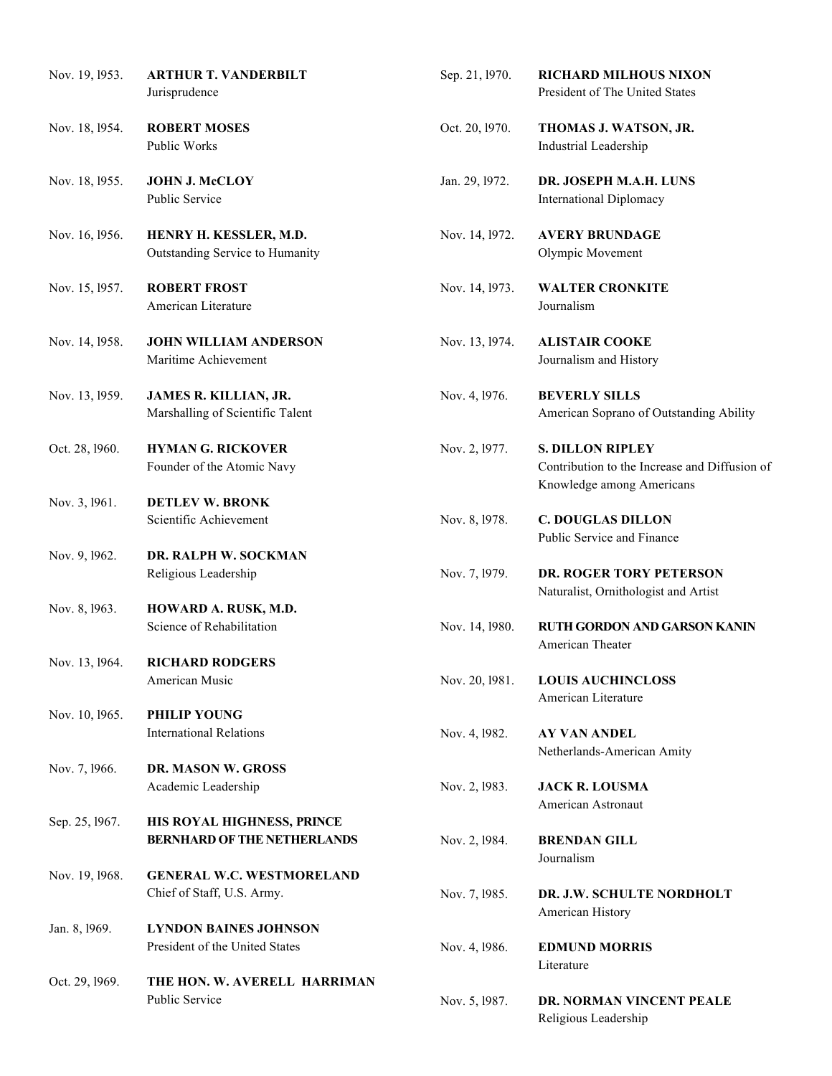| Nov. 19, 1953. | <b>ARTHUR T. VANDERBILT</b><br>Jurisprudence                     | Sep. 21, 1970. | <b>RICHARD MILHOUS NIXON</b><br>President of The United States                                        |
|----------------|------------------------------------------------------------------|----------------|-------------------------------------------------------------------------------------------------------|
| Nov. 18, 1954. | <b>ROBERT MOSES</b><br>Public Works                              | Oct. 20, 1970. | THOMAS J. WATSON, JR.<br>Industrial Leadership                                                        |
| Nov. 18, 1955. | <b>JOHN J. McCLOY</b><br>Public Service                          | Jan. 29, 1972. | DR. JOSEPH M.A.H. LUNS<br><b>International Diplomacy</b>                                              |
| Nov. 16, 1956. | HENRY H. KESSLER, M.D.<br>Outstanding Service to Humanity        | Nov. 14, 1972. | <b>AVERY BRUNDAGE</b><br>Olympic Movement                                                             |
| Nov. 15, 1957. | <b>ROBERT FROST</b><br>American Literature                       | Nov. 14, 1973. | <b>WALTER CRONKITE</b><br>Journalism                                                                  |
| Nov. 14, 1958. | <b>JOHN WILLIAM ANDERSON</b><br>Maritime Achievement             | Nov. 13, 1974. | <b>ALISTAIR COOKE</b><br>Journalism and History                                                       |
| Nov. 13, 1959. | JAMES R. KILLIAN, JR.<br>Marshalling of Scientific Talent        | Nov. 4, 1976.  | <b>BEVERLY SILLS</b><br>American Soprano of Outstanding Ability                                       |
| Oct. 28, 1960. | <b>HYMAN G. RICKOVER</b><br>Founder of the Atomic Navy           | Nov. 2, 1977.  | <b>S. DILLON RIPLEY</b><br>Contribution to the Increase and Diffusion of<br>Knowledge among Americans |
| Nov. 3, 1961.  | <b>DETLEV W. BRONK</b><br>Scientific Achievement                 | Nov. 8, 1978.  | <b>C. DOUGLAS DILLON</b><br>Public Service and Finance                                                |
| Nov. 9, 1962.  | DR. RALPH W. SOCKMAN<br>Religious Leadership                     | Nov. 7, 1979.  | DR. ROGER TORY PETERSON<br>Naturalist, Ornithologist and Artist                                       |
| Nov. 8, 1963.  | HOWARD A. RUSK, M.D.<br>Science of Rehabilitation                | Nov. 14, 1980. | RUTH GORDON AND GARSON KANIN<br>American Theater                                                      |
| Nov. 13, 1964. | <b>RICHARD RODGERS</b><br>American Music                         | Nov. 20, 1981. | <b>LOUIS AUCHINCLOSS</b><br>American Literature                                                       |
| Nov. 10, 1965. | PHILIP YOUNG<br><b>International Relations</b>                   | Nov. 4, 1982.  | <b>AY VAN ANDEL</b><br>Netherlands-American Amity                                                     |
| Nov. 7, 1966.  | DR. MASON W. GROSS<br>Academic Leadership                        | Nov. 2, 1983.  | <b>JACK R. LOUSMA</b><br>American Astronaut                                                           |
| Sep. 25, 1967. | HIS ROYAL HIGHNESS, PRINCE<br><b>BERNHARD OF THE NETHERLANDS</b> | Nov. 2, 1984.  | <b>BRENDAN GILL</b><br>Journalism                                                                     |
| Nov. 19, 1968. | <b>GENERAL W.C. WESTMORELAND</b><br>Chief of Staff, U.S. Army.   | Nov. 7, 1985.  | DR. J.W. SCHULTE NORDHOLT<br>American History                                                         |
| Jan. 8, 1969.  | <b>LYNDON BAINES JOHNSON</b><br>President of the United States   | Nov. 4, 1986.  | <b>EDMUND MORRIS</b>                                                                                  |
| Oct. 29, 1969. | THE HON. W. AVERELL HARRIMAN<br>Public Service                   | Nov. 5, 1987.  | Literature<br>DR. NORMAN VINCENT PEALE<br>Religious Leadership                                        |